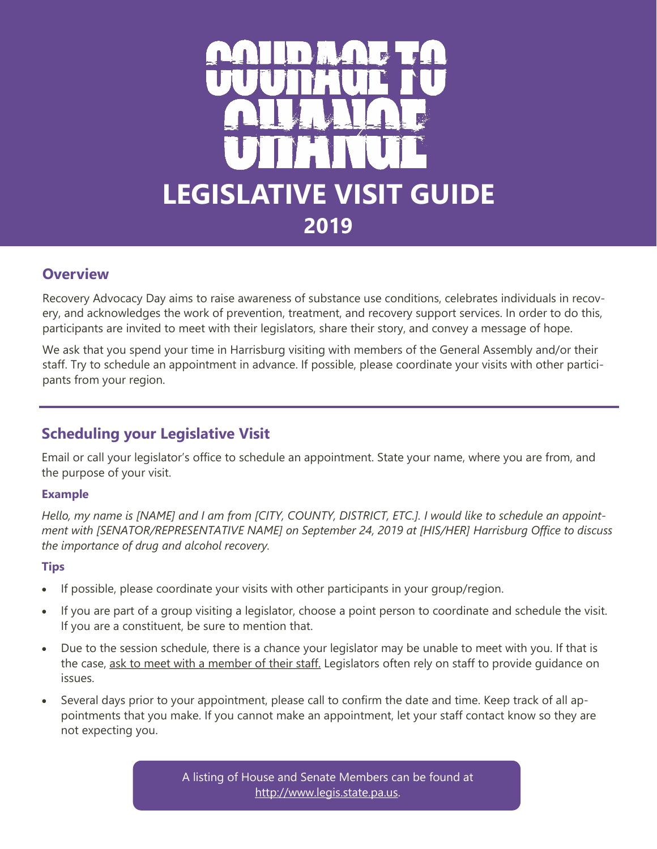

# **Overview**

Recovery Advocacy Day aims to raise awareness of substance use conditions, celebrates individuals in recovery, and acknowledges the work of prevention, treatment, and recovery support services. In order to do this, participants are invited to meet with their legislators, share their story, and convey a message of hope.

We ask that you spend your time in Harrisburg visiting with members of the General Assembly and/or their staff. Try to schedule an appointment in advance. If possible, please coordinate your visits with other participants from your region.

# **Scheduling your Legislative Visit**

Email or call your legislator's office to schedule an appointment. State your name, where you are from, and the purpose of your visit.

## **Example**

*Hello, my name is [NAME] and I am from [CITY, COUNTY, DISTRICT, ETC.]. I would like to schedule an appointment with [SENATOR/REPRESENTATIVE NAME] on September 24, 2019 at [HIS/HER] Harrisburg Office to discuss the importance of drug and alcohol recovery.* 

## **Tips**

- If possible, please coordinate your visits with other participants in your group/region.
- If you are part of a group visiting a legislator, choose a point person to coordinate and schedule the visit. If you are a constituent, be sure to mention that.
- Due to the session schedule, there is a chance your legislator may be unable to meet with you. If that is the case, ask to meet with a member of their staff. Legislators often rely on staff to provide guidance on issues.
- Several days prior to your appointment, please call to confirm the date and time. Keep track of all appointments that you make. If you cannot make an appointment, let your staff contact know so they are not expecting you.

A listing of House and Senate Members can be found at [http://www.legis.state.pa.us.](http://www.legis.state.pa.us/cfdocs/legis/home/findyourlegislator/)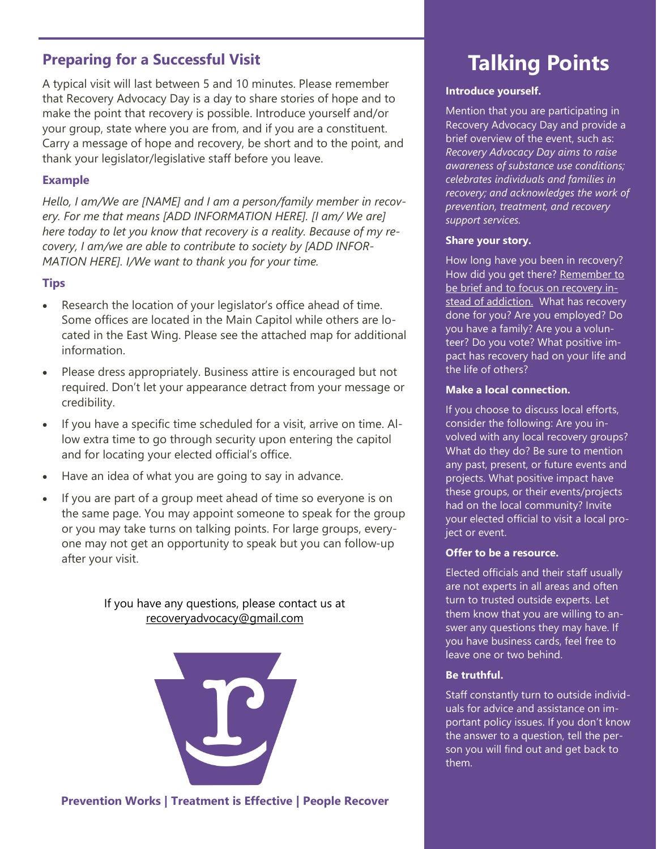# **Preparing for a Successful Visit**

A typical visit will last between 5 and 10 minutes. Please remember that Recovery Advocacy Day is a day to share stories of hope and to make the point that recovery is possible. Introduce yourself and/or your group, state where you are from, and if you are a constituent. Carry a message of hope and recovery, be short and to the point, and thank your legislator/legislative staff before you leave.

### **Example**

*Hello, I am/We are [NAME] and I am a person/family member in recovery. For me that means [ADD INFORMATION HERE]. [I am/ We are] here today to let you know that recovery is a reality. Because of my recovery, I am/we are able to contribute to society by [ADD INFOR-MATION HERE]. I/We want to thank you for your time.* 

## **Tips**

- Research the location of your legislator's office ahead of time. Some offices are located in the Main Capitol while others are located in the East Wing. Please see the attached map for additional information.
- Please dress appropriately. Business attire is encouraged but not required. Don't let your appearance detract from your message or credibility.
- If you have a specific time scheduled for a visit, arrive on time. Allow extra time to go through security upon entering the capitol and for locating your elected official's office.
- Have an idea of what you are going to say in advance.
- If you are part of a group meet ahead of time so everyone is on the same page. You may appoint someone to speak for the group or you may take turns on talking points. For large groups, everyone may not get an opportunity to speak but you can follow-up after your visit.

If you have any questions, please contact us at [recoveryadvocacy@gmail.com](mailto:recoveryadvocacy@gmail.com)



# **Talking Points**

### **Introduce yourself.**

Mention that you are participating in Recovery Advocacy Day and provide a brief overview of the event, such as: *Recovery Advocacy Day aims to raise awareness of substance use conditions; celebrates individuals and families in recovery; and acknowledges the work of prevention, treatment, and recovery support services.*

### **Share your story.**

How long have you been in recovery? How did you get there? Remember to be brief and to focus on recovery instead of addiction. What has recovery done for you? Are you employed? Do you have a family? Are you a volunteer? Do you vote? What positive impact has recovery had on your life and the life of others?

### **Make a local connection.**

If you choose to discuss local efforts, consider the following: Are you involved with any local recovery groups? What do they do? Be sure to mention any past, present, or future events and projects. What positive impact have these groups, or their events/projects had on the local community? Invite your elected official to visit a local project or event.

### **Offer to be a resource.**

Elected officials and their staff usually are not experts in all areas and often turn to trusted outside experts. Let them know that you are willing to answer any questions they may have. If you have business cards, feel free to leave one or two behind.

### **Be truthful.**

Staff constantly turn to outside individuals for advice and assistance on important policy issues. If you don't know the answer to a question, tell the person you will find out and get back to them.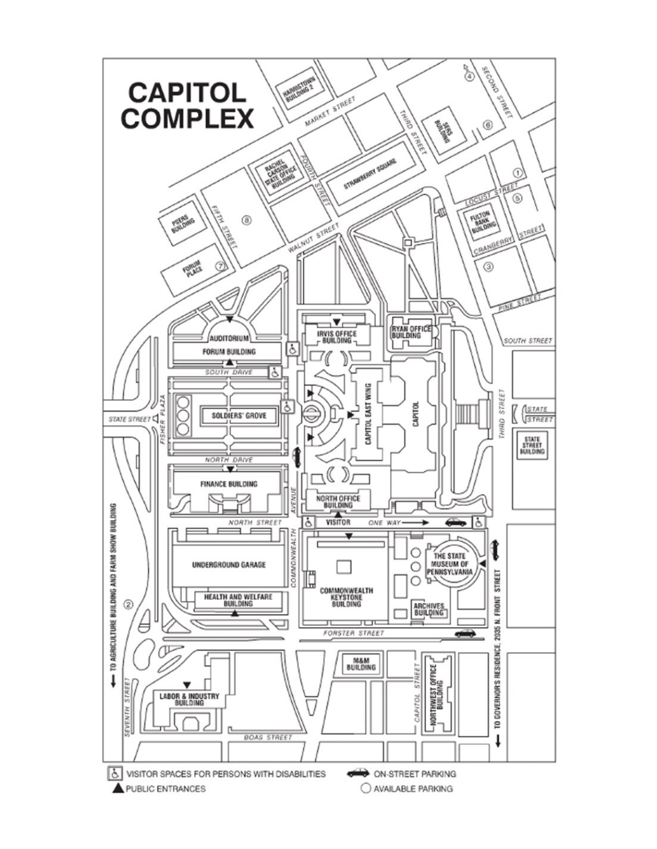